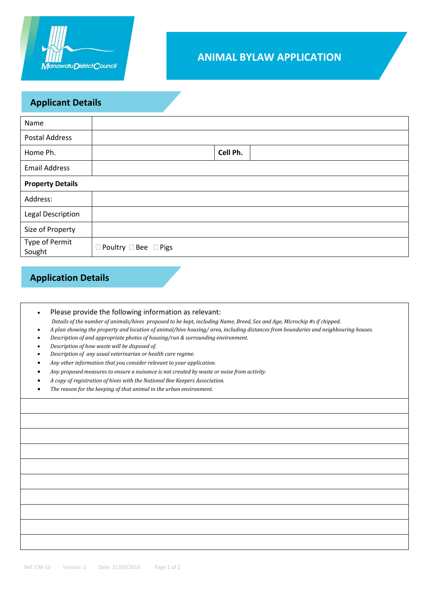

## **ANIMAL BYLAW APPLICATION**

### **Applicant Details**

| Name                     |                                       |  |  |  |  |
|--------------------------|---------------------------------------|--|--|--|--|
| <b>Postal Address</b>    |                                       |  |  |  |  |
| Home Ph.                 | Cell Ph.                              |  |  |  |  |
| <b>Email Address</b>     |                                       |  |  |  |  |
| <b>Property Details</b>  |                                       |  |  |  |  |
| Address:                 |                                       |  |  |  |  |
| <b>Legal Description</b> |                                       |  |  |  |  |
| Size of Property         |                                       |  |  |  |  |
| Type of Permit<br>Sought | $\Box$ Poultry $\Box$ Bee $\Box$ Pigs |  |  |  |  |

## **Application Details**

| Please provide the following information as relevant:                                                                               |  |  |
|-------------------------------------------------------------------------------------------------------------------------------------|--|--|
| Details of the number of animals/hives proposed to be kept, including Name, Breed, Sex and Age, Microchip #s if chipped.            |  |  |
| A plan showing the property and location of animal/hive housing/ area, including distances from boundaries and neighbouring houses. |  |  |
| Description of and appropriate photos of housing/run & surrounding environment.                                                     |  |  |

- *Description of how waste will be disposed of.*
- *Description of any usual veterinarian or health care regime.*
- *Any other information that you consider relevant to your application.*
- *Any proposed measures to ensure a nuisance is not created by waste or noise from activity.*
- *A copy of registration of hives with the National Bee Keepers Association.*
- *The reason for the keeping of that animal in the urban environment.*